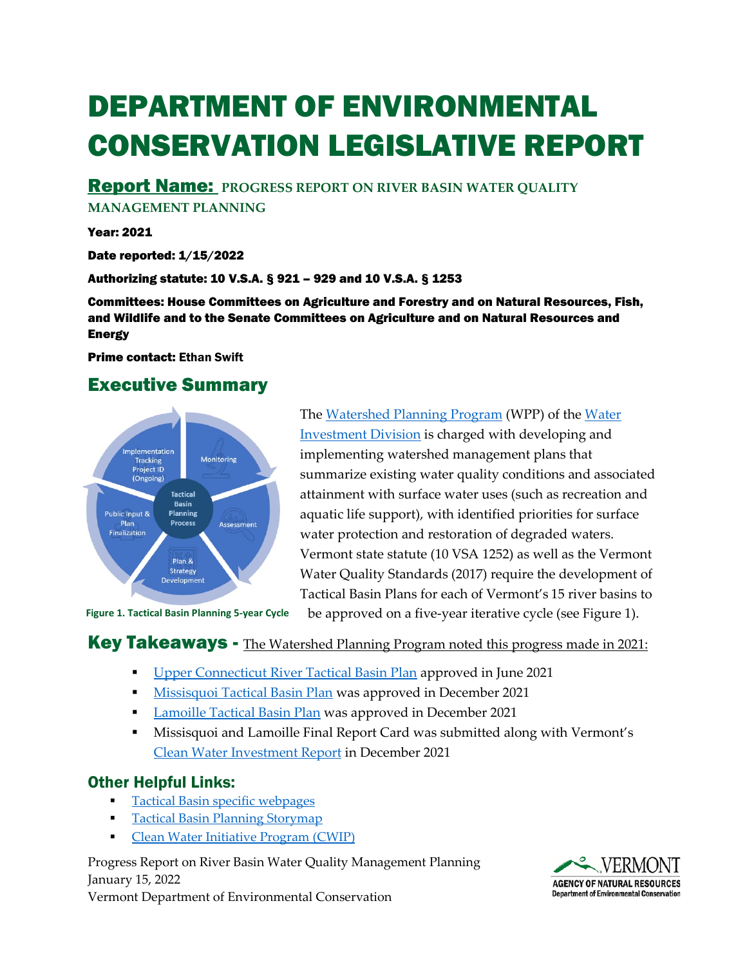# DEPARTMENT OF ENVIRONMENTAL CONSERVATION LEGISLATIVE REPORT

Report Name: **PROGRESS REPORT ON RIVER BASIN WATER QUALITY** 

**MANAGEMENT PLANNING**

Year: 2021

Date reported: 1/15/2022

#### Authorizing statute: 10 V.S.A. § 921 – 929 and 10 V.S.A. § 1253

Committees: House Committees on Agriculture and Forestry and on Natural Resources, Fish, and Wildlife and to the Senate Committees on Agriculture and on Natural Resources and **Energy** 

Prime contact: Ethan Swift

## Executive Summary



The [Watershed Planning Program](https://dec.vermont.gov/water-investment/watershed-planning) (WPP) of the [Water](https://dec.vermont.gov/water-investment)  [Investment Division](https://dec.vermont.gov/water-investment) is charged with developing and implementing watershed management plans that summarize existing water quality conditions and associated attainment with surface water uses (such as recreation and aquatic life support), with identified priorities for surface water protection and restoration of degraded waters. Vermont state statute (10 VSA 1252) as well as the Vermont Water Quality Standards (2017) require the development of Tactical Basin Plans for each of Vermont's 15 river basins to

**Figure 1. Tactical Basin Planning 5-year Cycle**

be approved on a five-year iterative cycle (see Figure 1).

#### **Key Takeaways -** The [Watershed Planning Program](https://dec.vermont.gov/water-investment/watershed-planning) noted this progress made in 2021:

- **[Upper Connecticut River Tactical Basin Plan](https://dec.vermont.gov/sites/dec/files/WID/WPP/2021%20Upper%20Connecticut%20River%20Tactical%20Basin%20PlanSigned.pdf) approved in June 2021**
- [Missisquoi Tactical Basin Plan](https://dec.vermont.gov/sites/dec/files/WID/WPP/2021%20DRAFT%20Missisquoi%20Bay%20Tactical%20Basin%20Plan%20signed.pdf) was approved in December 2021
- **[Lamoille Tactical Basin Plan](https://dec.vermont.gov/sites/dec/files/documents/2021%20Lamoille%20River%20Tactical%20Basin%20Plan.pdf) was approved in December 2021**
- Missisquoi and Lamoille Final Report Card was submitted along with Vermont's [Clean Water Investment Report](https://dec.vermont.gov/water-investment/cwi/reports) in December 2021

## Other Helpful Links:

- [Tactical Basin specific webpages](https://dec.vermont.gov/water-investment/watershed-planning)
- **[Tactical Basin Planning Storymap](https://storymaps.arcgis.com/stories/dfc9e2c6cbfb4a8d80bdaffad761de3a)**
- **[Clean Water Initiative Program \(CWIP\)](https://dec.vermont.gov/water-investment/cwi)**

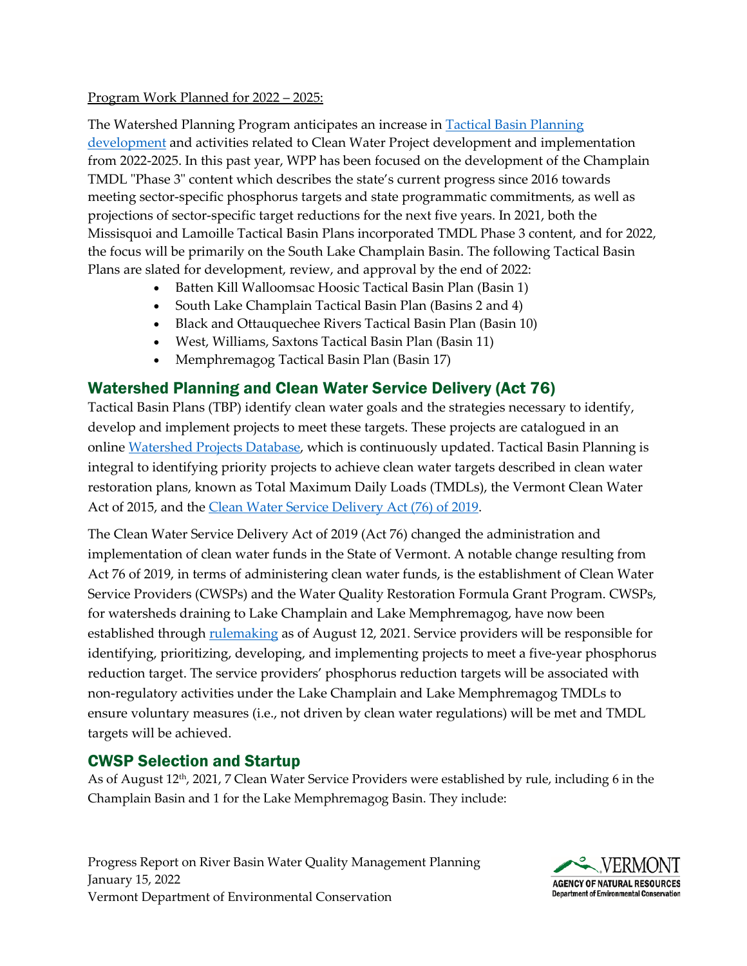#### Program Work Planned for 2022 – 2025:

The Watershed Planning Program anticipates an increase in [Tactical Basin Planning](https://dec.vermont.gov/sites/dec/files/WID/WPP/MonAssessPlannRotation_8-7-20.pdf)  [development](https://dec.vermont.gov/sites/dec/files/WID/WPP/MonAssessPlannRotation_8-7-20.pdf) and activities related to Clean Water Project development and implementation from 2022-2025. In this past year, WPP has been focused on the development of the Champlain TMDL "Phase 3" content which describes the state's current progress since 2016 towards meeting sector-specific phosphorus targets and state programmatic commitments, as well as projections of sector-specific target reductions for the next five years. In 2021, both the Missisquoi and Lamoille Tactical Basin Plans incorporated TMDL Phase 3 content, and for 2022, the focus will be primarily on the South Lake Champlain Basin. The following Tactical Basin Plans are slated for development, review, and approval by the end of 2022:

- Batten Kill Walloomsac Hoosic Tactical Basin Plan (Basin 1)
- South Lake Champlain Tactical Basin Plan (Basins 2 and 4)
- Black and Ottauquechee Rivers Tactical Basin Plan (Basin 10)
- West, Williams, Saxtons Tactical Basin Plan (Basin 11)
- Memphremagog Tactical Basin Plan (Basin 17)

## Watershed Planning and Clean Water Service Delivery (Act 76)

Tactical Basin Plans (TBP) identify clean water goals and the strategies necessary to identify, develop and implement projects to meet these targets. These projects are catalogued in an online [Watershed Projects Database,](https://anrweb.vt.gov/DEC/CleanWaterDashboard/WPDSearch.aspx) which is continuously updated. Tactical Basin Planning is integral to identifying priority projects to achieve clean water targets described in clean water restoration plans, known as Total Maximum Daily Loads (TMDLs), the Vermont Clean Water Act of 2015, and the [Clean Water Service Delivery Act \(76\) of 2019.](https://dec.vermont.gov/water-investment/statues-rules-policies/act-76)

The Clean Water Service Delivery Act of 2019 (Act 76) changed the administration and implementation of clean water funds in the State of Vermont. A notable change resulting from Act 76 of 2019, in terms of administering clean water funds, is the establishment of Clean Water Service Providers (CWSPs) and the Water Quality Restoration Formula Grant Program. CWSPs, for watersheds draining to Lake Champlain and Lake Memphremagog, have now been established through **rulemaking** as of August 12, 2021. Service providers will be responsible for identifying, prioritizing, developing, and implementing projects to meet a five-year phosphorus reduction target. The service providers' phosphorus reduction targets will be associated with non-regulatory activities under the Lake Champlain and Lake Memphremagog TMDLs to ensure voluntary measures (i.e., not driven by clean water regulations) will be met and TMDL targets will be achieved.

## CWSP Selection and Startup

As of August 12th, 2021, 7 Clean Water Service Providers were established by rule, including 6 in the Champlain Basin and 1 for the Lake Memphremagog Basin. They include:

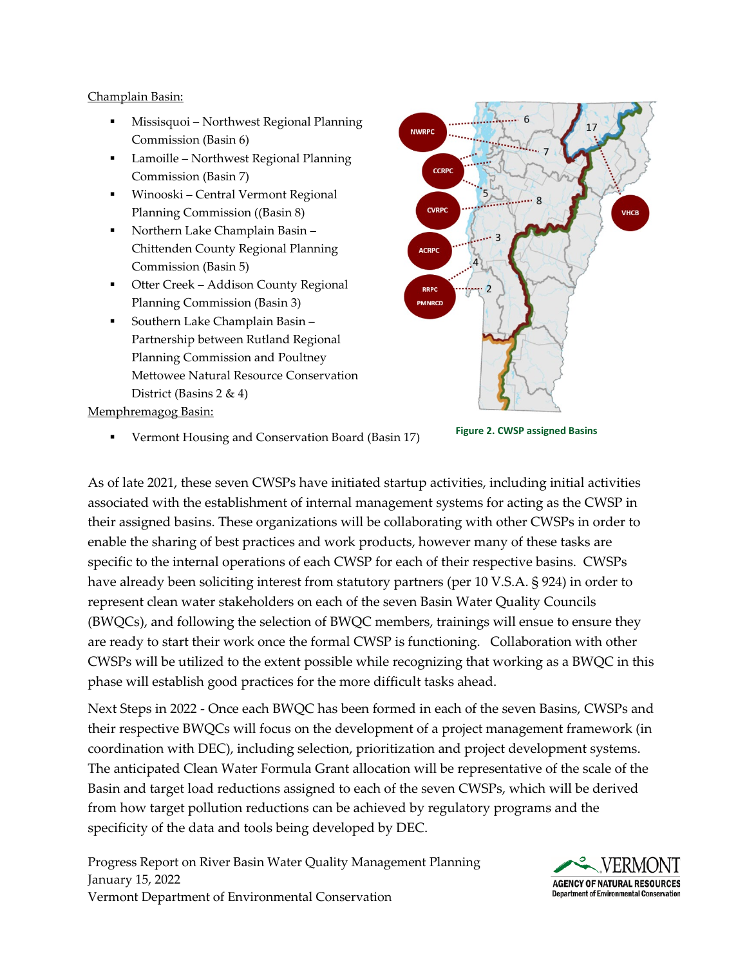#### Champlain Basin:

- Missisquoi Northwest Regional Planning Commission (Basin 6)
- **Lamoille Northwest Regional Planning** Commission (Basin 7)
- Winooski Central Vermont Regional Planning Commission ((Basin 8)
- Northern Lake Champlain Basin Chittenden County Regional Planning Commission (Basin 5)
- **Otter Creek Addison County Regional** Planning Commission (Basin 3)
- **Southern Lake Champlain Basin -**Partnership between Rutland Regional Planning Commission and Poultney Mettowee Natural Resource Conservation District (Basins 2 & 4)

Memphremagog Basin:



**Figure 2. CWSP assigned Basins**

Vermont Housing and Conservation Board (Basin 17)

As of late 2021, these seven CWSPs have initiated startup activities, including initial activities associated with the establishment of internal management systems for acting as the CWSP in their assigned basins. These organizations will be collaborating with other CWSPs in order to enable the sharing of best practices and work products, however many of these tasks are specific to the internal operations of each CWSP for each of their respective basins. CWSPs have already been soliciting interest from statutory partners (per 10 V.S.A. § 924) in order to represent clean water stakeholders on each of the seven Basin Water Quality Councils (BWQCs), and following the selection of BWQC members, trainings will ensue to ensure they are ready to start their work once the formal CWSP is functioning. Collaboration with other CWSPs will be utilized to the extent possible while recognizing that working as a BWQC in this phase will establish good practices for the more difficult tasks ahead.

Next Steps in 2022 - Once each BWQC has been formed in each of the seven Basins, CWSPs and their respective BWQCs will focus on the development of a project management framework (in coordination with DEC), including selection, prioritization and project development systems. The anticipated Clean Water Formula Grant allocation will be representative of the scale of the Basin and target load reductions assigned to each of the seven CWSPs, which will be derived from how target pollution reductions can be achieved by regulatory programs and the specificity of the data and tools being developed by DEC.